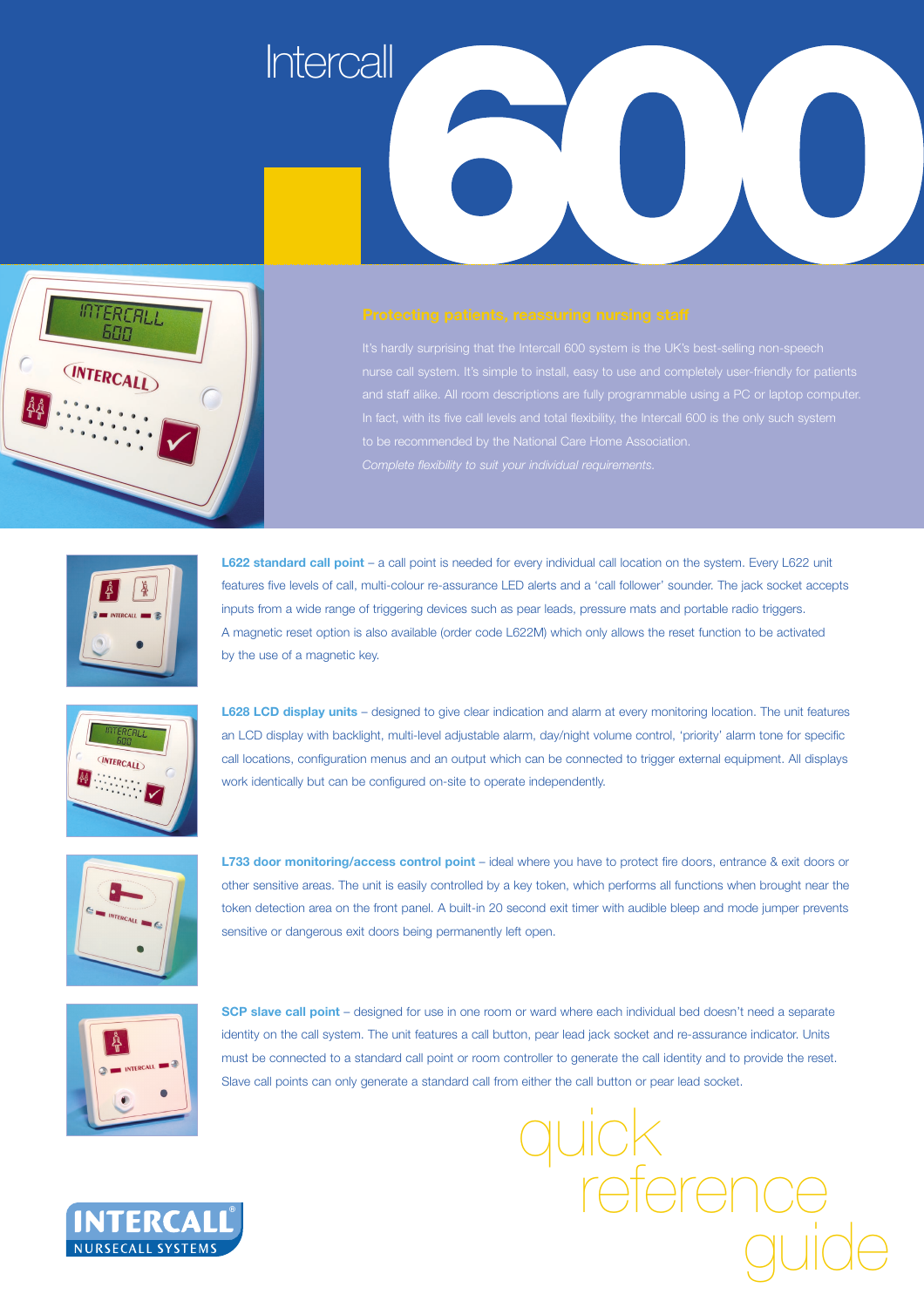



nurse call system. It's simple to install, easy to use and completely user-friendly for patients to be recommended by the National Care Home Association.



**L622 standard call point** – a call point is needed for every individual call location on the system. Every L622 unit features five levels of call, multi-colour re-assurance LED alerts and a 'call follower' sounder. The jack socket accepts inputs from a wide range of triggering devices such as pear leads, pressure mats and portable radio triggers. A magnetic reset option is also available (order code L622M) which only allows the reset function to be activated by the use of a magnetic key.



**L628 LCD display units** – designed to give clear indication and alarm at every monitoring location. The unit features an LCD display with backlight, multi-level adjustable alarm, day/night volume control, 'priority' alarm tone for specific call locations, configuration menus and an output which can be connected to trigger external equipment. All displays work identically but can be configured on-site to operate independently.



**L733 door monitoring/access control point** – ideal where you have to protect fire doors, entrance & exit doors or other sensitive areas. The unit is easily controlled by a key token, which performs all functions when brought near the token detection area on the front panel. A built-in 20 second exit timer with audible bleep and mode jumper prevents sensitive or dangerous exit doors being permanently left open.



**SCP slave call point** – designed for use in one room or ward where each individual bed doesn't need a separate identity on the call system. The unit features a call button, pear lead jack socket and re-assurance indicator. Units must be connected to a standard call point or room controller to generate the call identity and to provide the reset. Slave call points can only generate a standard call from either the call button or pear lead socket.

uick<br>refe

guide